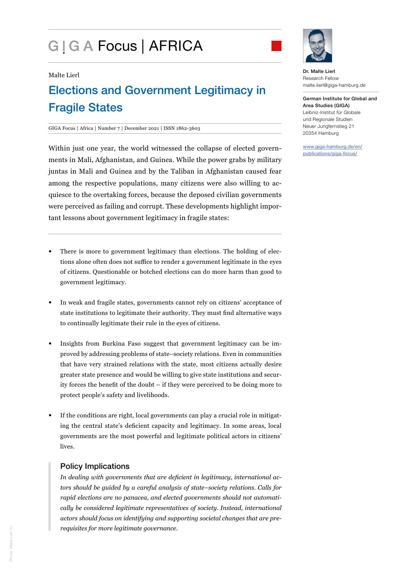# G | G A Focus | AFRICA



#### Malte Lierl

## Elections and Government Legitimacy in Fragile States

#### GIGA Focus | Africa | Number 7 | December 2021 | ISSN 1862-3603

Within just one year, the world witnessed the collapse of elected governments in Mali, Afghanistan, and Guinea. While the power grabs by military juntas in Mali and Guinea and by the Taliban in Afghanistan caused fear among the respective populations, many citizens were also willing to acquiesce to the overtaking forces, because the deposed civilian governments were perceived as failing and corrupt. These developments highlight important lessons about government legitimacy in fragile states:

- There is more to government legitimacy than elections. The holding of elections alone often does not suffice to render a government legitimate in the eyes of citizens. Questionable or botched elections can do more harm than good to government legitimacy.
- In weak and fragile states, governments cannot rely on citizens' acceptance of state institutions to legitimate their authority. They must find alternative ways to continually legitimate their rule in the eyes of citizens.
- Insights from Burkina Faso suggest that government legitimacy can be improved by addressing problems of state–society relations. Even in communities that have very strained relations with the state, most citizens actually desire greater state presence and would be willing to give state institutions and security forces the benefit of the doubt – if they were perceived to be doing more to protect people's safety and livelihoods.
- If the conditions are right, local governments can play a crucial role in mitigating the central state's deficient capacity and legitimacy. In some areas, local governments are the most powerful and legitimate political actors in citizens' lives.

#### Policy Implications

*In dealing with governments that are deficient in legitimacy, international actors should be guided by a careful analysis of state–society relations. Calls for rapid elections are no panacea, and elected governments should not automatically be considered legitimate representatives of society. Instead, international actors should focus on identifying and supporting societal changes that are prerequisites for more legitimate governance.*

Dr. Malte Lierl Research Fellow malte.lierl@giga-hamburg.de

German Institute for Global and Area Studies (GIGA) Leibniz-Institut für Globale und Regionale Studien Neuer Jungfernstieg 21 20354 Hamburg

[www.giga-hamburg.de/en/](https://www.giga-hamburg.de/en/publications/giga-focus/) [publications/giga-focus/](https://www.giga-hamburg.de/en/publications/giga-focus/)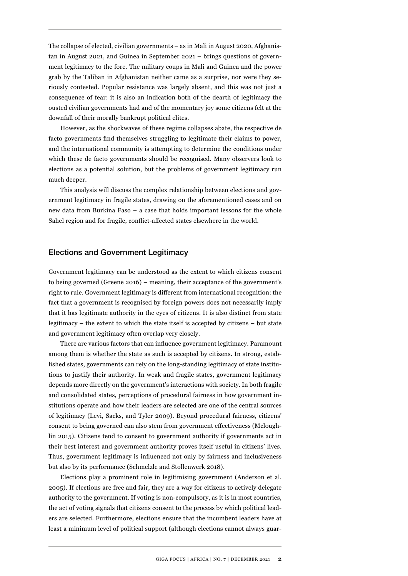The collapse of elected, civilian governments – as in Mali in August 2020, Afghanistan in August 2021, and Guinea in September 2021 – brings questions of government legitimacy to the fore. The military coups in Mali and Guinea and the power grab by the Taliban in Afghanistan neither came as a surprise, nor were they seriously contested. Popular resistance was largely absent, and this was not just a consequence of fear: it is also an indication both of the dearth of legitimacy the ousted civilian governments had and of the momentary joy some citizens felt at the downfall of their morally bankrupt political elites.

However, as the shockwaves of these regime collapses abate, the respective de facto governments find themselves struggling to legitimate their claims to power, and the international community is attempting to determine the conditions under which these de facto governments should be recognised. Many observers look to elections as a potential solution, but the problems of government legitimacy run much deeper.

This analysis will discuss the complex relationship between elections and government legitimacy in fragile states, drawing on the aforementioned cases and on new data from Burkina Faso – a case that holds important lessons for the whole Sahel region and for fragile, conflict-affected states elsewhere in the world.

## Elections and Government Legitimacy

Government legitimacy can be understood as the extent to which citizens consent to being governed (Greene 2016) – meaning, their acceptance of the government's right to rule. Government legitimacy is different from international recognition: the fact that a government is recognised by foreign powers does not necessarily imply that it has legitimate authority in the eyes of citizens. It is also distinct from state legitimacy – the extent to which the state itself is accepted by citizens – but state and government legitimacy often overlap very closely.

There are various factors that can influence government legitimacy. Paramount among them is whether the state as such is accepted by citizens. In strong, established states, governments can rely on the long-standing legitimacy of state institutions to justify their authority. In weak and fragile states, government legitimacy depends more directly on the government's interactions with society. In both fragile and consolidated states, perceptions of procedural fairness in how government institutions operate and how their leaders are selected are one of the central sources of legitimacy (Levi, Sacks, and Tyler 2009). Beyond procedural fairness, citizens' consent to being governed can also stem from government effectiveness (Mcloughlin 2015). Citizens tend to consent to government authority if governments act in their best interest and government authority proves itself useful in citizens' lives. Thus, government legitimacy is influenced not only by fairness and inclusiveness but also by its performance (Schmelzle and Stollenwerk 2018).

Elections play a prominent role in legitimising government (Anderson et al. 2005). If elections are free and fair, they are a way for citizens to actively delegate authority to the government. If voting is non-compulsory, as it is in most countries, the act of voting signals that citizens consent to the process by which political leaders are selected. Furthermore, elections ensure that the incumbent leaders have at least a minimum level of political support (although elections cannot always guar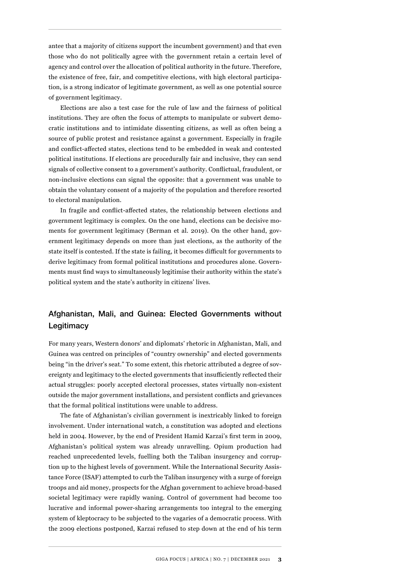antee that a majority of citizens support the incumbent government) and that even those who do not politically agree with the government retain a certain level of agency and control over the allocation of political authority in the future. Therefore, the existence of free, fair, and competitive elections, with high electoral participation, is a strong indicator of legitimate government, as well as one potential source of government legitimacy.

Elections are also a test case for the rule of law and the fairness of political institutions. They are often the focus of attempts to manipulate or subvert democratic institutions and to intimidate dissenting citizens, as well as often being a source of public protest and resistance against a government. Especially in fragile and conflict-affected states, elections tend to be embedded in weak and contested political institutions. If elections are procedurally fair and inclusive, they can send signals of collective consent to a government's authority. Conflictual, fraudulent, or non-inclusive elections can signal the opposite: that a government was unable to obtain the voluntary consent of a majority of the population and therefore resorted to electoral manipulation.

In fragile and conflict-affected states, the relationship between elections and government legitimacy is complex. On the one hand, elections can be decisive moments for government legitimacy (Berman et al. 2019). On the other hand, government legitimacy depends on more than just elections, as the authority of the state itself is contested. If the state is failing, it becomes difficult for governments to derive legitimacy from formal political institutions and procedures alone. Governments must find ways to simultaneously legitimise their authority within the state's political system and the state's authority in citizens' lives.

## Afghanistan, Mali, and Guinea: Elected Governments without **Legitimacy**

For many years, Western donors' and diplomats' rhetoric in Afghanistan, Mali, and Guinea was centred on principles of "country ownership" and elected governments being "in the driver's seat." To some extent, this rhetoric attributed a degree of sovereignty and legitimacy to the elected governments that insufficiently reflected their actual struggles: poorly accepted electoral processes, states virtually non-existent outside the major government installations, and persistent conflicts and grievances that the formal political institutions were unable to address.

The fate of Afghanistan's civilian government is inextricably linked to foreign involvement. Under international watch, a constitution was adopted and elections held in 2004. However, by the end of President Hamid Karzai's first term in 2009, Afghanistan's political system was already unravelling. Opium production had reached unprecedented levels, fuelling both the Taliban insurgency and corruption up to the highest levels of government. While the International Security Assistance Force (ISAF) attempted to curb the Taliban insurgency with a surge of foreign troops and aid money, prospects for the Afghan government to achieve broad-based societal legitimacy were rapidly waning. Control of government had become too lucrative and informal power-sharing arrangements too integral to the emerging system of kleptocracy to be subjected to the vagaries of a democratic process. With the 2009 elections postponed, Karzai refused to step down at the end of his term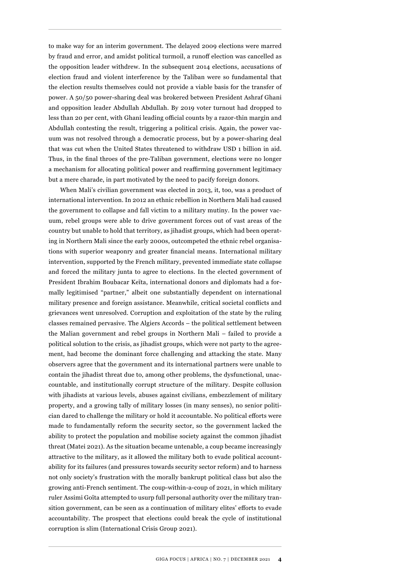to make way for an interim government. The delayed 2009 elections were marred by fraud and error, and amidst political turmoil, a runoff election was cancelled as the opposition leader withdrew. In the subsequent 2014 elections, accusations of election fraud and violent interference by the Taliban were so fundamental that the election results themselves could not provide a viable basis for the transfer of power. A 50/50 power-sharing deal was brokered between President Ashraf Ghani and opposition leader Abdullah Abdullah. By 2019 voter turnout had dropped to less than 20 per cent, with Ghani leading official counts by a razor-thin margin and Abdullah contesting the result, triggering a political crisis. Again, the power vacuum was not resolved through a democratic process, but by a power-sharing deal that was cut when the United States threatened to withdraw USD 1 billion in aid. Thus, in the final throes of the pre-Taliban government, elections were no longer a mechanism for allocating political power and reaffirming government legitimacy but a mere charade, in part motivated by the need to pacify foreign donors.

When Mali's civilian government was elected in 2013, it, too, was a product of international intervention. In 2012 an ethnic rebellion in Northern Mali had caused the government to collapse and fall victim to a military mutiny. In the power vacuum, rebel groups were able to drive government forces out of vast areas of the country but unable to hold that territory, as jihadist groups, which had been operating in Northern Mali since the early 2000s, outcompeted the ethnic rebel organisations with superior weaponry and greater financial means. International military intervention, supported by the French military, prevented immediate state collapse and forced the military junta to agree to elections. In the elected government of President Ibrahim Boubacar Keïta, international donors and diplomats had a formally legitimised "partner," albeit one substantially dependent on international military presence and foreign assistance. Meanwhile, critical societal conflicts and grievances went unresolved. Corruption and exploitation of the state by the ruling classes remained pervasive. The Algiers Accords – the political settlement between the Malian government and rebel groups in Northern Mali – failed to provide a political solution to the crisis, as jihadist groups, which were not party to the agreement, had become the dominant force challenging and attacking the state. Many observers agree that the government and its international partners were unable to contain the jihadist threat due to, among other problems, the dysfunctional, unaccountable, and institutionally corrupt structure of the military. Despite collusion with jihadists at various levels, abuses against civilians, embezzlement of military property, and a growing tally of military losses (in many senses), no senior politician dared to challenge the military or hold it accountable. No political efforts were made to fundamentally reform the security sector, so the government lacked the ability to protect the population and mobilise society against the common jihadist threat (Matei 2021). As the situation became untenable, a coup became increasingly attractive to the military, as it allowed the military both to evade political accountability for its failures (and pressures towards security sector reform) and to harness not only society's frustration with the morally bankrupt political class but also the growing anti-French sentiment. The coup-within-a-coup of 2021, in which military ruler Assimi Goïta attempted to usurp full personal authority over the military transition government, can be seen as a continuation of military elites' efforts to evade accountability. The prospect that elections could break the cycle of institutional corruption is slim (International Crisis Group 2021).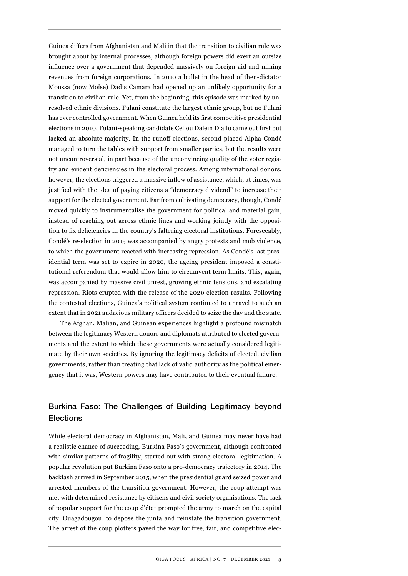Guinea differs from Afghanistan and Mali in that the transition to civilian rule was brought about by internal processes, although foreign powers did exert an outsize influence over a government that depended massively on foreign aid and mining revenues from foreign corporations. In 2010 a bullet in the head of then-dictator Moussa (now Moïse) Dadis Camara had opened up an unlikely opportunity for a transition to civilian rule. Yet, from the beginning, this episode was marked by unresolved ethnic divisions. Fulani constitute the largest ethnic group, but no Fulani has ever controlled government. When Guinea held its first competitive presidential elections in 2010, Fulani-speaking candidate Cellou Dalein Diallo came out first but lacked an absolute majority. In the runoff elections, second-placed Alpha Condé managed to turn the tables with support from smaller parties, but the results were not uncontroversial, in part because of the unconvincing quality of the voter registry and evident deficiencies in the electoral process. Among international donors, however, the elections triggered a massive inflow of assistance, which, at times, was justified with the idea of paying citizens a "democracy dividend" to increase their support for the elected government. Far from cultivating democracy, though, Condé moved quickly to instrumentalise the government for political and material gain, instead of reaching out across ethnic lines and working jointly with the opposition to fix deficiencies in the country's faltering electoral institutions. Foreseeably, Condé's re-election in 2015 was accompanied by angry protests and mob violence, to which the government reacted with increasing repression. As Condé's last presidential term was set to expire in 2020, the ageing president imposed a constitutional referendum that would allow him to circumvent term limits. This, again, was accompanied by massive civil unrest, growing ethnic tensions, and escalating repression. Riots erupted with the release of the 2020 election results. Following the contested elections, Guinea's political system continued to unravel to such an extent that in 2021 audacious military officers decided to seize the day and the state.

The Afghan, Malian, and Guinean experiences highlight a profound mismatch between the legitimacy Western donors and diplomats attributed to elected governments and the extent to which these governments were actually considered legitimate by their own societies. By ignoring the legitimacy deficits of elected, civilian governments, rather than treating that lack of valid authority as the political emergency that it was, Western powers may have contributed to their eventual failure.

## Burkina Faso: The Challenges of Building Legitimacy beyond **Elections**

While electoral democracy in Afghanistan, Mali, and Guinea may never have had a realistic chance of succeeding, Burkina Faso's government, although confronted with similar patterns of fragility, started out with strong electoral legitimation. A popular revolution put Burkina Faso onto a pro-democracy trajectory in 2014. The backlash arrived in September 2015, when the presidential guard seized power and arrested members of the transition government. However, the coup attempt was met with determined resistance by citizens and civil society organisations. The lack of popular support for the coup d'état prompted the army to march on the capital city, Ouagadougou, to depose the junta and reinstate the transition government. The arrest of the coup plotters paved the way for free, fair, and competitive elec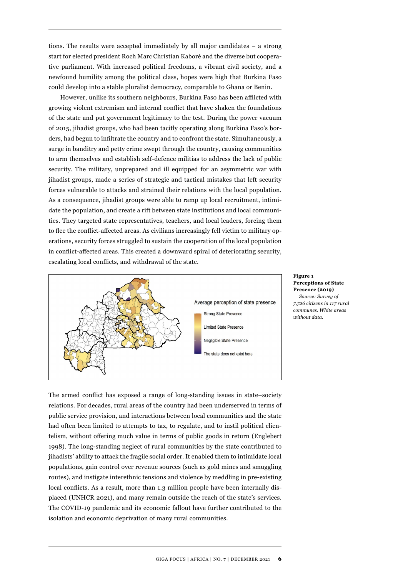tions. The results were accepted immediately by all major candidates – a strong start for elected president Roch Marc Christian Kaboré and the diverse but cooperative parliament. With increased political freedoms, a vibrant civil society, and a newfound humility among the political class, hopes were high that Burkina Faso could develop into a stable pluralist democracy, comparable to Ghana or Benin.

However, unlike its southern neighbours, Burkina Faso has been afflicted with growing violent extremism and internal conflict that have shaken the foundations of the state and put government legitimacy to the test. During the power vacuum of 2015, jihadist groups, who had been tacitly operating along Burkina Faso's borders, had begun to infiltrate the country and to confront the state. Simultaneously, a surge in banditry and petty crime swept through the country, causing communities to arm themselves and establish self-defence militias to address the lack of public security. The military, unprepared and ill equipped for an asymmetric war with jihadist groups, made a series of strategic and tactical mistakes that left security forces vulnerable to attacks and strained their relations with the local population. As a consequence, jihadist groups were able to ramp up local recruitment, intimidate the population, and create a rift between state institutions and local communities. They targeted state representatives, teachers, and local leaders, forcing them to flee the conflict-affected areas. As civilians increasingly fell victim to military operations, security forces struggled to sustain the cooperation of the local population in conflict-affected areas. This created a downward spiral of deteriorating security, escalating local conflicts, and withdrawal of the state.



**Figure 1 Perceptions of State Presence (2019)** *Source: Survey of 7,726 citizens in 117 rural communes. White areas without data.* 

The armed conflict has exposed a range of long-standing issues in state–society relations. For decades, rural areas of the country had been underserved in terms of public service provision, and interactions between local communities and the state had often been limited to attempts to tax, to regulate, and to instil political clientelism, without offering much value in terms of public goods in return (Englebert 1998). The long-standing neglect of rural communities by the state contributed to jihadists' ability to attack the fragile social order. It enabled them to intimidate local populations, gain control over revenue sources (such as gold mines and smuggling routes), and instigate interethnic tensions and violence by meddling in pre-existing local conflicts. As a result, more than 1.3 million people have been internally displaced (UNHCR 2021), and many remain outside the reach of the state's services. The COVID-19 pandemic and its economic fallout have further contributed to the isolation and economic deprivation of many rural communities.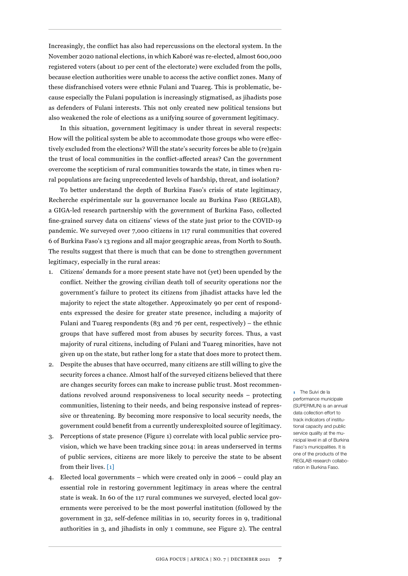Increasingly, the conflict has also had repercussions on the electoral system. In the November 2020 national elections, in which Kaboré was re-elected, almost 600,000 registered voters (about 10 per cent of the electorate) were excluded from the polls, because election authorities were unable to access the active conflict zones. Many of these disfranchised voters were ethnic Fulani and Tuareg. This is problematic, because especially the Fulani population is increasingly stigmatised, as jihadists pose as defenders of Fulani interests. This not only created new political tensions but also weakened the role of elections as a unifying source of government legitimacy.

In this situation, government legitimacy is under threat in several respects: How will the political system be able to accommodate those groups who were effectively excluded from the elections? Will the state's security forces be able to (re)gain the trust of local communities in the conflict-affected areas? Can the government overcome the scepticism of rural communities towards the state, in times when rural populations are facing unprecedented levels of hardship, threat, and isolation?

To better understand the depth of Burkina Faso's crisis of state legitimacy, Recherche expérimentale sur la gouvernance locale au Burkina Faso (REGLAB), a GIGA-led research partnership with the government of Burkina Faso, collected fine-grained survey data on citizens' views of the state just prior to the COVID-19 pandemic. We surveyed over 7,000 citizens in 117 rural communities that covered 6 of Burkina Faso's 13 regions and all major geographic areas, from North to South. The results suggest that there is much that can be done to strengthen government legitimacy, especially in the rural areas:

- 1. Citizens' demands for a more present state have not (yet) been upended by the conflict. Neither the growing civilian death toll of security operations nor the government's failure to protect its citizens from jihadist attacks have led the majority to reject the state altogether. Approximately 90 per cent of respondents expressed the desire for greater state presence, including a majority of Fulani and Tuareg respondents (83 and 76 per cent, respectively) – the ethnic groups that have suffered most from abuses by security forces. Thus, a vast majority of rural citizens, including of Fulani and Tuareg minorities, have not given up on the state, but rather long for a state that does more to protect them.
- 2. Despite the abuses that have occurred, many citizens are still willing to give the security forces a chance. Almost half of the surveyed citizens believed that there are changes security forces can make to increase public trust. Most recommendations revolved around responsiveness to local security needs – protecting communities, listening to their needs, and being responsive instead of repressive or threatening. By becoming more responsive to local security needs, the government could benefit from a currently underexploited source of legitimacy.
- 3. Perceptions of state presence (Figure 1) correlate with local public service provision, which we have been tracking since 2014: in areas underserved in terms of public services, citizens are more likely to perceive the state to be absent from their lives. [1]
- 4. Elected local governments which were created only in 2006 could play an essential role in restoring government legitimacy in areas where the central state is weak. In 60 of the 117 rural communes we surveyed, elected local governments were perceived to be the most powerful institution (followed by the government in 32, self-defence militias in 10, security forces in 9, traditional authorities in 3, and jihadists in only 1 commune, see Figure 2). The central

**1** The Suivi de la performance municipale (SUPERMUN) is an annual data collection effort to track indicators of institutional capacity and public service quality at the municipal level in all of Burkina Faso's municipalities. It is one of the products of the REGLAB research collaboration in Burkina Faso.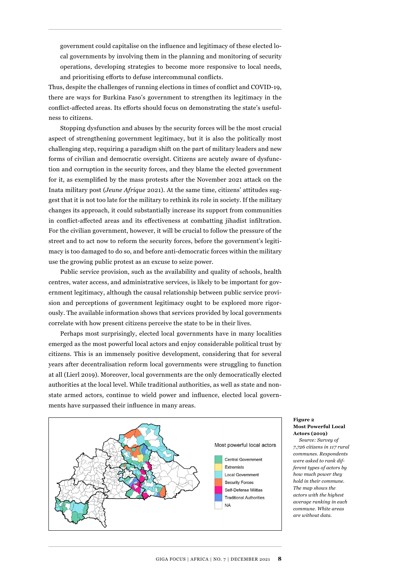government could capitalise on the influence and legitimacy of these elected local governments by involving them in the planning and monitoring of security operations, developing strategies to become more responsive to local needs, and prioritising efforts to defuse intercommunal conflicts.

Thus, despite the challenges of running elections in times of conflict and COVID-19, there are ways for Burkina Faso's government to strengthen its legitimacy in the conflict-affected areas. Its efforts should focus on demonstrating the state's usefulness to citizens.

Stopping dysfunction and abuses by the security forces will be the most crucial aspect of strengthening government legitimacy, but it is also the politically most challenging step, requiring a paradigm shift on the part of military leaders and new forms of civilian and democratic oversight. Citizens are acutely aware of dysfunction and corruption in the security forces, and they blame the elected government for it, as exemplified by the mass protests after the November 2021 attack on the Inata military post (*Jeune Afrique* 2021). At the same time, citizens' attitudes suggest that it is not too late for the military to rethink its role in society. If the military changes its approach, it could substantially increase its support from communities in conflict-affected areas and its effectiveness at combatting jihadist infiltration. For the civilian government, however, it will be crucial to follow the pressure of the street and to act now to reform the security forces, before the government's legitimacy is too damaged to do so, and before anti-democratic forces within the military use the growing public protest as an excuse to seize power.

Public service provision, such as the availability and quality of schools, health centres, water access, and administrative services, is likely to be important for government legitimacy, although the causal relationship between public service provision and perceptions of government legitimacy ought to be explored more rigorously. The available information shows that services provided by local governments correlate with how present citizens perceive the state to be in their lives.

Perhaps most surprisingly, elected local governments have in many localities emerged as the most powerful local actors and enjoy considerable political trust by citizens. This is an immensely positive development, considering that for several years after decentralisation reform local governments were struggling to function at all (Lierl 2019). Moreover, local governments are the only democratically elected authorities at the local level. While traditional authorities, as well as state and nonstate armed actors, continue to wield power and influence, elected local governments have surpassed their influence in many areas.



#### **Figure 2 Most Powerful Local Actors (2019)**

*Source: Survey of 7,726 citizens in 117 rural communes. Respondents were asked to rank different types of actors by how much power they hold in their commune. The map shows the actors with the highest average ranking in each commune. White areas are without data.*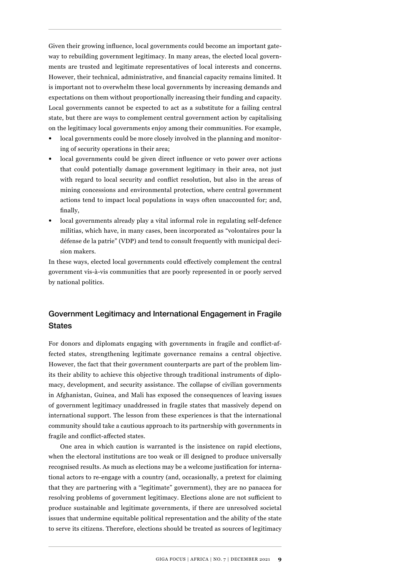Given their growing influence, local governments could become an important gateway to rebuilding government legitimacy. In many areas, the elected local governments are trusted and legitimate representatives of local interests and concerns. However, their technical, administrative, and financial capacity remains limited. It is important not to overwhelm these local governments by increasing demands and expectations on them without proportionally increasing their funding and capacity. Local governments cannot be expected to act as a substitute for a failing central state, but there are ways to complement central government action by capitalising on the legitimacy local governments enjoy among their communities. For example,

- local governments could be more closely involved in the planning and monitoring of security operations in their area;
- local governments could be given direct influence or veto power over actions that could potentially damage government legitimacy in their area, not just with regard to local security and conflict resolution, but also in the areas of mining concessions and environmental protection, where central government actions tend to impact local populations in ways often unaccounted for; and, finally,
- local governments already play a vital informal role in regulating self-defence militias, which have, in many cases, been incorporated as "volontaires pour la défense de la patrie" (VDP) and tend to consult frequently with municipal decision makers.

In these ways, elected local governments could effectively complement the central government vis-à-vis communities that are poorly represented in or poorly served by national politics.

## Government Legitimacy and International Engagement in Fragile **States**

For donors and diplomats engaging with governments in fragile and conflict-affected states, strengthening legitimate governance remains a central objective. However, the fact that their government counterparts are part of the problem limits their ability to achieve this objective through traditional instruments of diplomacy, development, and security assistance. The collapse of civilian governments in Afghanistan, Guinea, and Mali has exposed the consequences of leaving issues of government legitimacy unaddressed in fragile states that massively depend on international support. The lesson from these experiences is that the international community should take a cautious approach to its partnership with governments in fragile and conflict-affected states.

One area in which caution is warranted is the insistence on rapid elections, when the electoral institutions are too weak or ill designed to produce universally recognised results. As much as elections may be a welcome justification for international actors to re-engage with a country (and, occasionally, a pretext for claiming that they are partnering with a "legitimate" government), they are no panacea for resolving problems of government legitimacy. Elections alone are not sufficient to produce sustainable and legitimate governments, if there are unresolved societal issues that undermine equitable political representation and the ability of the state to serve its citizens. Therefore, elections should be treated as sources of legitimacy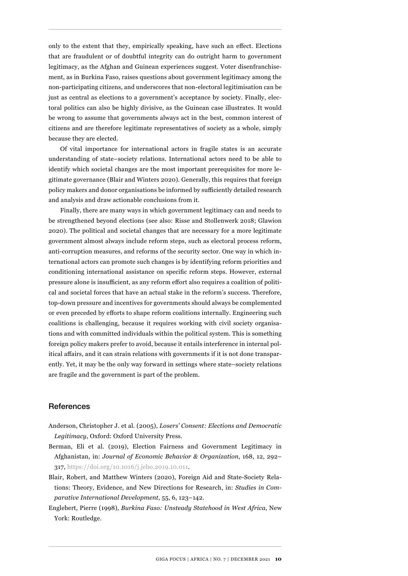only to the extent that they, empirically speaking, have such an effect. Elections that are fraudulent or of doubtful integrity can do outright harm to government legitimacy, as the Afghan and Guinean experiences suggest. Voter disenfranchisement, as in Burkina Faso, raises questions about government legitimacy among the non-participating citizens, and underscores that non-electoral legitimisation can be just as central as elections to a government's acceptance by society. Finally, electoral politics can also be highly divisive, as the Guinean case illustrates. It would be wrong to assume that governments always act in the best, common interest of citizens and are therefore legitimate representatives of society as a whole, simply because they are elected.

Of vital importance for international actors in fragile states is an accurate understanding of state–society relations. International actors need to be able to identify which societal changes are the most important prerequisites for more legitimate governance (Blair and Winters 2020). Generally, this requires that foreign policy makers and donor organisations be informed by sufficiently detailed research and analysis and draw actionable conclusions from it.

Finally, there are many ways in which government legitimacy can and needs to be strengthened beyond elections (see also: Risse and Stollenwerk 2018; Glawion 2020). The political and societal changes that are necessary for a more legitimate government almost always include reform steps, such as electoral process reform, anti-corruption measures, and reforms of the security sector. One way in which international actors can promote such changes is by identifying reform priorities and conditioning international assistance on specific reform steps. However, external pressure alone is insufficient, as any reform effort also requires a coalition of political and societal forces that have an actual stake in the reform's success. Therefore, top-down pressure and incentives for governments should always be complemented or even preceded by efforts to shape reform coalitions internally. Engineering such coalitions is challenging, because it requires working with civil society organisations and with committed individuals within the political system. This is something foreign policy makers prefer to avoid, because it entails interference in internal political affairs, and it can strain relations with governments if it is not done transparently. Yet, it may be the only way forward in settings where state–society relations are fragile and the government is part of the problem.

#### **References**

- Anderson, Christopher J. et al. (2005), *Losers' Consent: Elections and Democratic Legitimacy*, Oxford: Oxford University Press.
- Berman, Eli et al. (2019), Election Fairness and Government Legitimacy in Afghanistan, in: *Journal of Economic Behavior & Organization*, 168, 12, 292– 317, <https://doi.org/10.1016/j.jebo.2019.10.011>.
- Blair, Robert, and Matthew Winters (2020), Foreign Aid and State-Society Relations: Theory, Evidence, and New Directions for Research, in: *Studies in Comparative International Development*, 55, 6, 123–142.
- Englebert, Pierre (1998), *Burkina Faso: Unsteady Statehood in West Africa*, New York: Routledge.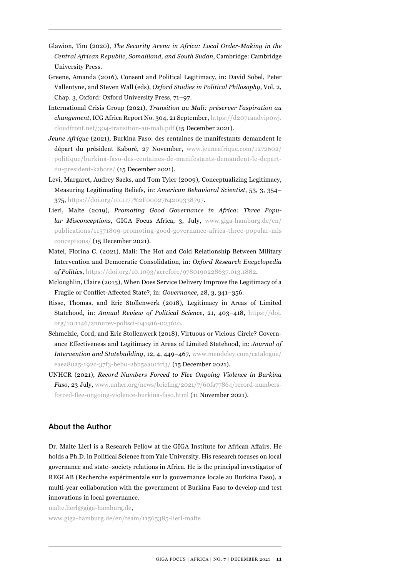- Glawion, Tim (2020), *The Security Arena in Africa: Local Order-Making in the Central African Republic, Somaliland, and South Sudan*, Cambridge: Cambridge University Press.
- Greene, Amanda (2016), Consent and Political Legitimacy, in: David Sobel, Peter Vallentyne, and Steven Wall (eds), *Oxford Studies in Political Philosophy*, Vol. 2, Chap. 3, Oxford: Oxford University Press, 71–97.
- International Crisis Group (2021), *Transition au Mali: préserver l'aspiration au changement*, ICG Africa Report No. 304, 21 September, [https://d2071andvip0wj.](https://d2071andvip0wj.cloudfront.net/304-transition-au-mali.pdf) [cloudfront.net/304-transition-au-mali.pdf](https://d2071andvip0wj.cloudfront.net/304-transition-au-mali.pdf) (15 December 2021).
- *Jeune Afrique* (2021), Burkina Faso: des centaines de manifestants demandent le départ du président Kaboré, 27 November, [www.jeuneafrique.com/1272602/](https://www.jeuneafrique.com/1272602/politique/burkina-faso-des-centaines-de-manifestants-demandent-le-depart-du-president-kabore/) [politique/burkina-faso-des-centaines-de-manifestants-demandent-le-depart](https://www.jeuneafrique.com/1272602/politique/burkina-faso-des-centaines-de-manifestants-demandent-le-depart-du-president-kabore/)[du-president-kabore/](https://www.jeuneafrique.com/1272602/politique/burkina-faso-des-centaines-de-manifestants-demandent-le-depart-du-president-kabore/) (15 December 2021).
- Levi, Margaret, Audrey Sacks, and Tom Tyler (2009), Conceptualizing Legitimacy, Measuring Legitimating Beliefs, in: *American Behavioral Scientist*, 53, 3, 354– 375, <https://doi.org/10.1177%2F0002764209338797>.
- Lierl, Malte (2019), *Promoting Good Governance in Africa: Three Popular Misconceptions*, GIGA Focus Africa, 3, July, [www.giga-hamburg.de/en/](https://www.giga-hamburg.de/en/publications/11571809-promoting-good-governance-africa-three-popular-misconceptions/) [publications/11571809-promoting-good-governance-africa-three-popular-mis](https://www.giga-hamburg.de/en/publications/11571809-promoting-good-governance-africa-three-popular-misconceptions/) [conceptions/](https://www.giga-hamburg.de/en/publications/11571809-promoting-good-governance-africa-three-popular-misconceptions/) (15 December 2021).
- Matei, Florina C. (2021), Mali: The Hot and Cold Relationship Between Military Intervention and Democratic Consolidation, in: *Oxford Research Encyclopedia of Politics*, [https://doi.org/10.1093/acrefore/9780190228637.013.1882.](https://doi.org/10.1093/acrefore/9780190228637.013.1882)
- Mcloughlin, Claire (2015), When Does Service Delivery Improve the Legitimacy of a Fragile or Conflict-Affected State?, in: *Governance*, 28, 3, 341–356.
- Risse, Thomas, and Eric Stollenwerk (2018), Legitimacy in Areas of Limited Statehood, in: *Annual Review of Political Science*, 21, 403–418, [https://doi.](https://doi.org/10.1146/annurev-polisci-041916-023610) [org/10.1146/annurev-polisci-041916-023610](https://doi.org/10.1146/annurev-polisci-041916-023610).
- Schmelzle, Cord, and Eric Stollenwerk (2018), Virtuous or Vicious Circle? Governance Effectiveness and Legitimacy in Areas of Limited Statehood, in: *Journal of Intervention and Statebuilding*, 12, 4, 449–467, [www.mendeley.com/catalogue/](https://www.mendeley.com/catalogue/eaea80a5-192c-37f3-beb0-2bb5aa01fcf3/) [eaea80a5-192c-37f3-beb0-2bb5aa01fcf3/](https://www.mendeley.com/catalogue/eaea80a5-192c-37f3-beb0-2bb5aa01fcf3/) (15 December 2021).
- UNHCR (2021), *Record Numbers Forced to Flee Ongoing Violence in Burkina Faso*, 23 July, [www.unhcr.org/news/briefing/2021/7/60fa77864/record-numbers](https://www.unhcr.org/news/briefing/2021/7/60fa77864/record-numbers-forced-flee-ongoing-violence-burkina-faso.html)[forced-flee-ongoing-violence-burkina-faso.html](https://www.unhcr.org/news/briefing/2021/7/60fa77864/record-numbers-forced-flee-ongoing-violence-burkina-faso.html) (11 November 2021).

### About the Author

Dr. Malte Lierl is a Research Fellow at the GIGA Institute for African Affairs. He holds a Ph.D. in Political Science from Yale University. His research focuses on local governance and state–society relations in Africa. He is the principal investigator of REGLAB (Recherche expérimentale sur la gouvernance locale au Burkina Faso), a multi-year collaboration with the government of Burkina Faso to develop and test innovations in local governance.

malte.lierl@giga-hamburg.de, [www.giga-hamburg.de/en/team/11565385-lierl-malte](https://www.giga-hamburg.de/en/team/11565385-lierl-malte)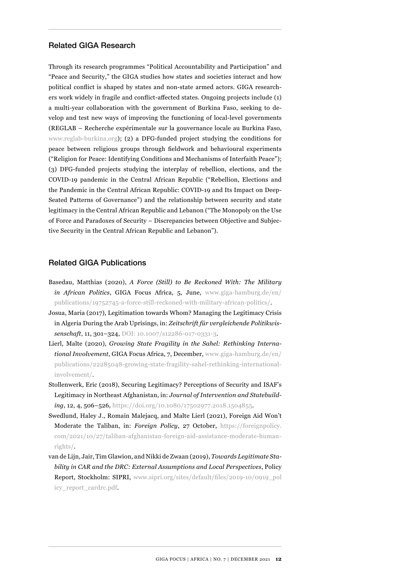#### Related GIGA Research

Through its research programmes "Political Accountability and Participation" and "Peace and Security," the GIGA studies how states and societies interact and how political conflict is shaped by states and non-state armed actors. GIGA researchers work widely in fragile and conflict-affected states. Ongoing projects include (1) a multi-year collaboration with the government of Burkina Faso, seeking to develop and test new ways of improving the functioning of local-level governments (REGLAB – Recherche expérimentale sur la gouvernance locale au Burkina Faso, [www.reglab-burkina.org](https://www.reglab-burkina.org)); (2) a DFG-funded project studying the conditions for peace between religious groups through fieldwork and behavioural experiments ("Religion for Peace: Identifying Conditions and Mechanisms of Interfaith Peace"); (3) DFG-funded projects studying the interplay of rebellion, elections, and the COVID-19 pandemic in the Central African Republic ("Rebellion, Elections and the Pandemic in the Central African Republic: COVID-19 and Its Impact on Deep-Seated Patterns of Governance") and the relationship between security and state legitimacy in the Central African Republic and Lebanon ("The Monopoly on the Use of Force and Paradoxes of Security – Discrepancies between Objective and Subjective Security in the Central African Republic and Lebanon").

#### Related GIGA Publications

- Basedau, Matthias (2020), *A Force (Still) to Be Reckoned With: The Military in African Politics*, GIGA Focus Africa, 5, June, www.giga-hamburg.de/en/ publications/19752745-a-force-still-reckoned-with-military-african-politics/.
- Josua, Maria (2017), Legitimation towards Whom? Managing the Legitimacy Crisis in Algeria During the Arab Uprisings, in: *Zeitschrift für vergleichende Politikwissenschaft*, 11, 301–324,<DOI: 10.1007/s12286-017-0331-3>.
- Lierl, Malte (2020), *Growing State Fragility in the Sahel: Rethinking International Involvement*, GIGA Focus Africa, 7, December, [www.giga-hamburg.de/en/](https://www.giga-hamburg.de/en/publications/22285048-growing-state-fragility-sahel-rethinking-international-involvement/) [publications/22285048-growing-state-fragility-sahel-rethinking-international](https://www.giga-hamburg.de/en/publications/22285048-growing-state-fragility-sahel-rethinking-international-involvement/)[involvement/.](https://www.giga-hamburg.de/en/publications/22285048-growing-state-fragility-sahel-rethinking-international-involvement/)
- Stollenwerk, Eric (2018), Securing Legitimacy? Perceptions of Security and ISAF's Legitimacy in Northeast Afghanistan, in: *Journal of Intervention and Statebuilding*, 12, 4, 506–526, <https://doi.org/10.1080/17502977.2018.1504855>.
- Swedlund, Haley J., Romain Malejacq, and Malte Lierl (2021), Foreign Aid Won't Moderate the Taliban, in: *Foreign Policy*, 27 October, [https://foreignpolicy.](https://foreignpolicy.com/2021/10/27/taliban-afghanistan-foreign-aid-assistance-moderate-human-rights/) [com/2021/10/27/taliban-afghanistan-foreign-aid-assistance-moderate-human](https://foreignpolicy.com/2021/10/27/taliban-afghanistan-foreign-aid-assistance-moderate-human-rights/)[rights/.](https://foreignpolicy.com/2021/10/27/taliban-afghanistan-foreign-aid-assistance-moderate-human-rights/)
- van de Lijn, Jair, Tim Glawion, and Nikki de Zwaan (2019), *Towards Legitimate Stability in CAR and the DRC: External Assumptions and Local Perspectives*, Policy Report, Stockholm: SIPRI, [www.sipri.org/sites/default/files/2019-10/0919\\_pol](https://www.sipri.org/sites/default/files/2019-10/0919_policy_report_cardrc.pdf) [icy\\_report\\_cardrc.pdf](https://www.sipri.org/sites/default/files/2019-10/0919_policy_report_cardrc.pdf).